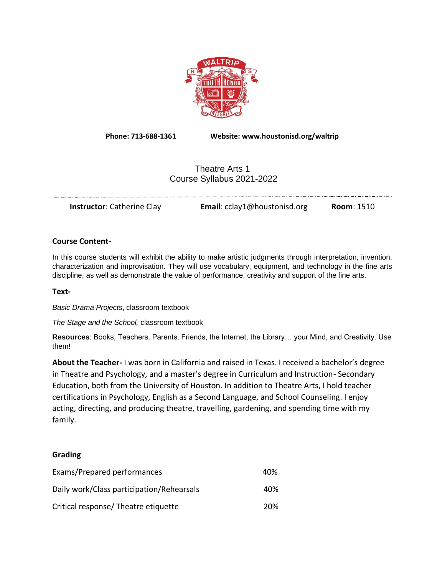

**Phone: 713-688-1361 Website: www.houstonisd.org/waltrip**

# Theatre Arts 1 Course Syllabus 2021-2022

|  | <b>Instructor:</b> Catherine Clay | <b>Email:</b> cclay1@houstonisd.org | <b>Room: 1510</b> |
|--|-----------------------------------|-------------------------------------|-------------------|
|--|-----------------------------------|-------------------------------------|-------------------|

#### **Course Content-**

In this course students will exhibit the ability to make artistic judgments through interpretation, invention, characterization and improvisation. They will use vocabulary, equipment, and technology in the fine arts discipline, as well as demonstrate the value of performance, creativity and support of the fine arts.

**Text-**

*Basic Drama Projects*, classroom textbook

*The Stage and the School,* classroom textbook

**Resources**: Books, Teachers, Parents, Friends, the Internet, the Library… your Mind, and Creativity. Use them!

**About the Teacher-** I was born in California and raised in Texas. I received a bachelor's degree in Theatre and Psychology, and a master's degree in Curriculum and Instruction- Secondary Education, both from the University of Houston. In addition to Theatre Arts, I hold teacher certifications in Psychology, English as a Second Language, and School Counseling. I enjoy acting, directing, and producing theatre, travelling, gardening, and spending time with my family.

#### **Grading**

| Exams/Prepared performances               | 40% |
|-------------------------------------------|-----|
| Daily work/Class participation/Rehearsals | 40% |
| Critical response/Theatre etiquette       | 20% |